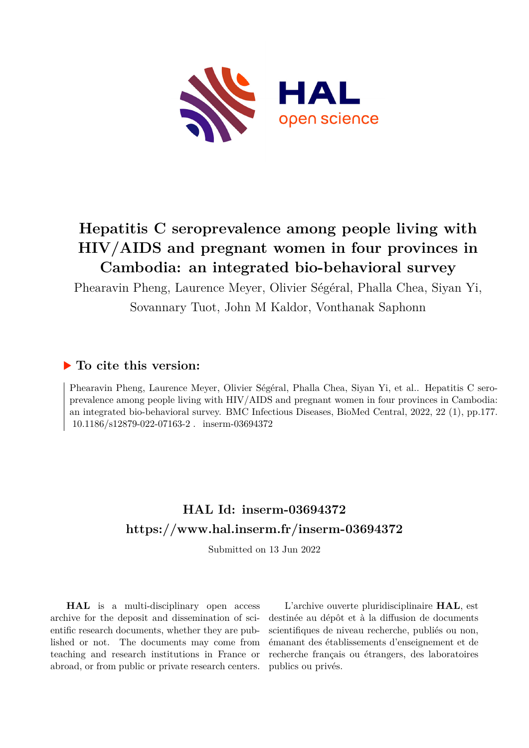

# **Hepatitis C seroprevalence among people living with HIV/AIDS and pregnant women in four provinces in Cambodia: an integrated bio-behavioral survey**

Phearavin Pheng, Laurence Meyer, Olivier Ségéral, Phalla Chea, Siyan Yi,

Sovannary Tuot, John M Kaldor, Vonthanak Saphonn

# **To cite this version:**

Phearavin Pheng, Laurence Meyer, Olivier Ségéral, Phalla Chea, Siyan Yi, et al.. Hepatitis C seroprevalence among people living with HIV/AIDS and pregnant women in four provinces in Cambodia: an integrated bio-behavioral survey. BMC Infectious Diseases, BioMed Central, 2022, 22 (1), pp.177. 10.1186/s12879-022-07163-2. inserm-03694372

# **HAL Id: inserm-03694372 <https://www.hal.inserm.fr/inserm-03694372>**

Submitted on 13 Jun 2022

**HAL** is a multi-disciplinary open access archive for the deposit and dissemination of scientific research documents, whether they are published or not. The documents may come from teaching and research institutions in France or abroad, or from public or private research centers.

L'archive ouverte pluridisciplinaire **HAL**, est destinée au dépôt et à la diffusion de documents scientifiques de niveau recherche, publiés ou non, émanant des établissements d'enseignement et de recherche français ou étrangers, des laboratoires publics ou privés.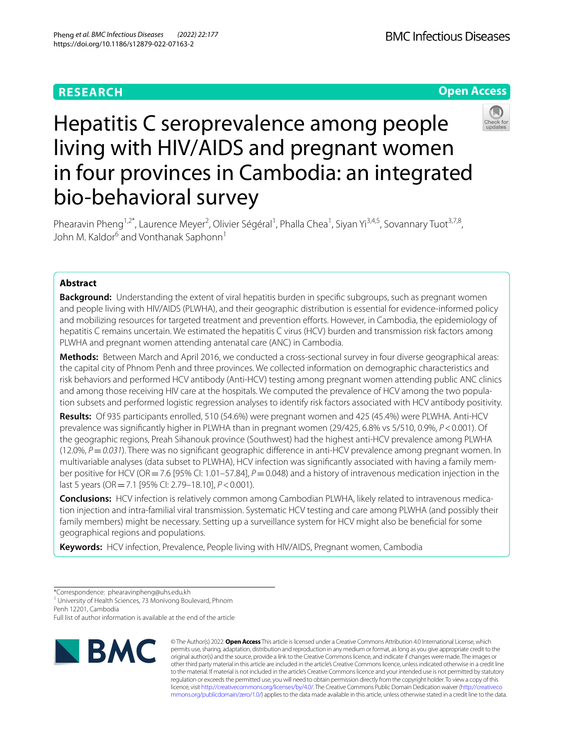# **RESEARCH**





# Hepatitis C seroprevalence among people living with HIV/AIDS and pregnant women in four provinces in Cambodia: an integrated bio-behavioral survey

Phearavin Pheng<sup>1,2\*</sup>, Laurence Meyer<sup>2</sup>, Olivier Ségéral<sup>1</sup>, Phalla Chea<sup>1</sup>, Siyan Yi<sup>3,4,5</sup>, Sovannary Tuot<sup>3,7,8</sup>, John M. Kaldor<sup>6</sup> and Vonthanak Saphonn<sup>1</sup>

# **Abstract**

**Background:** Understanding the extent of viral hepatitis burden in specific subgroups, such as pregnant women and people living with HIV/AIDS (PLWHA), and their geographic distribution is essential for evidence-informed policy and mobilizing resources for targeted treatment and prevention eforts. However, in Cambodia, the epidemiology of hepatitis C remains uncertain. We estimated the hepatitis C virus (HCV) burden and transmission risk factors among PLWHA and pregnant women attending antenatal care (ANC) in Cambodia.

**Methods:** Between March and April 2016, we conducted a cross-sectional survey in four diverse geographical areas: the capital city of Phnom Penh and three provinces. We collected information on demographic characteristics and risk behaviors and performed HCV antibody (Anti-HCV) testing among pregnant women attending public ANC clinics and among those receiving HIV care at the hospitals. We computed the prevalence of HCV among the two population subsets and performed logistic regression analyses to identify risk factors associated with HCV antibody positivity.

**Results:** Of 935 participants enrolled, 510 (54.6%) were pregnant women and 425 (45.4%) were PLWHA. Anti-HCV prevalence was signifcantly higher in PLWHA than in pregnant women (29/425, 6.8% vs 5/510, 0.9%, *P*<0.001). Of the geographic regions, Preah Sihanouk province (Southwest) had the highest anti-HCV prevalence among PLWHA (12.0%, *P*=*0.031*). There was no signifcant geographic diference in anti-HCV prevalence among pregnant women. In multivariable analyses (data subset to PLWHA), HCV infection was signifcantly associated with having a family member positive for HCV (OR=7.6 [95% CI: 1.01–57.84],  $P=0.048$ ) and a history of intravenous medication injection in the last 5 years (OR=7.1 [95% CI: 2.79–18.10], *P*<0.001).

**Conclusions:** HCV infection is relatively common among Cambodian PLWHA, likely related to intravenous medication injection and intra-familial viral transmission. Systematic HCV testing and care among PLWHA (and possibly their family members) might be necessary. Setting up a surveillance system for HCV might also be benefcial for some geographical regions and populations.

**Keywords:** HCV infection, Prevalence, People living with HIV/AIDS, Pregnant women, Cambodia

<sup>1</sup> University of Health Sciences, 73 Monivong Boulevard, Phnom

Penh 12201, Cambodia

Full list of author information is available at the end of the article



© The Author(s) 2022. **Open Access** This article is licensed under a Creative Commons Attribution 4.0 International License, which permits use, sharing, adaptation, distribution and reproduction in any medium or format, as long as you give appropriate credit to the original author(s) and the source, provide a link to the Creative Commons licence, and indicate if changes were made. The images or other third party material in this article are included in the article's Creative Commons licence, unless indicated otherwise in a credit line to the material. If material is not included in the article's Creative Commons licence and your intended use is not permitted by statutory regulation or exceeds the permitted use, you will need to obtain permission directly from the copyright holder. To view a copy of this licence, visit [http://creativecommons.org/licenses/by/4.0/.](http://creativecommons.org/licenses/by/4.0/) The Creative Commons Public Domain Dedication waiver ([http://creativeco](http://creativecommons.org/publicdomain/zero/1.0/) [mmons.org/publicdomain/zero/1.0/](http://creativecommons.org/publicdomain/zero/1.0/)) applies to the data made available in this article, unless otherwise stated in a credit line to the data.

<sup>\*</sup>Correspondence: phearavinpheng@uhs.edu.kh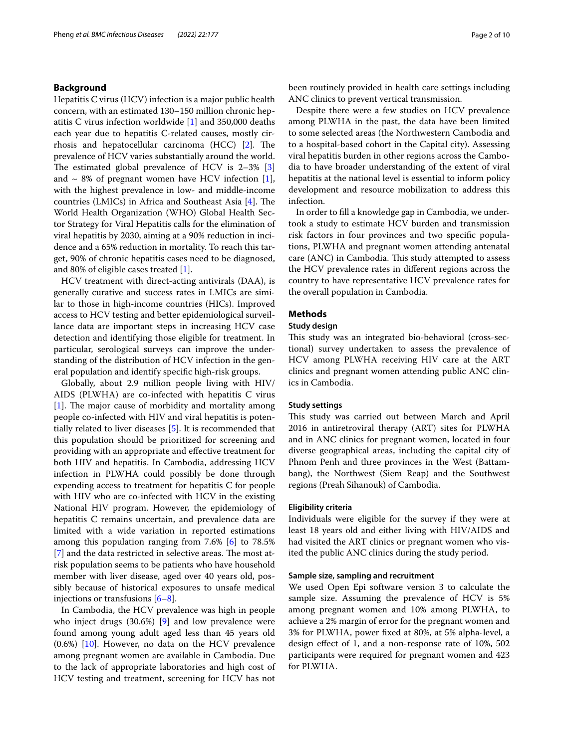# **Background**

Hepatitis C virus (HCV) infection is a major public health concern, with an estimated 130–150 million chronic hepatitis C virus infection worldwide [1] and 350,000 deaths each year due to hepatitis C-related causes, mostly cirrhosis and hepatocellular carcinoma (HCC)  $[2]$ . The prevalence of HCV varies substantially around the world. The estimated global prevalence of HCV is  $2-3\%$  [3] and  $\sim$  8% of pregnant women have HCV infection [1], with the highest prevalence in low- and middle-income countries (LMICs) in Africa and Southeast Asia  $[4]$ . The World Health Organization (WHO) Global Health Sector Strategy for Viral Hepatitis calls for the elimination of viral hepatitis by 2030, aiming at a 90% reduction in incidence and a 65% reduction in mortality. To reach this target, 90% of chronic hepatitis cases need to be diagnosed, and 80% of eligible cases treated [1].

HCV treatment with direct-acting antivirals (DAA), is generally curative and success rates in LMICs are similar to those in high-income countries (HICs). Improved access to HCV testing and better epidemiological surveillance data are important steps in increasing HCV case detection and identifying those eligible for treatment. In particular, serological surveys can improve the understanding of the distribution of HCV infection in the general population and identify specifc high-risk groups.

Globally, about 2.9 million people living with HIV/ AIDS (PLWHA) are co-infected with hepatitis C virus  $[1]$ . The major cause of morbidity and mortality among people co-infected with HIV and viral hepatitis is potentially related to liver diseases [5]. It is recommended that this population should be prioritized for screening and providing with an appropriate and efective treatment for both HIV and hepatitis. In Cambodia, addressing HCV infection in PLWHA could possibly be done through expending access to treatment for hepatitis C for people with HIV who are co-infected with HCV in the existing National HIV program. However, the epidemiology of hepatitis C remains uncertain, and prevalence data are limited with a wide variation in reported estimations among this population ranging from 7.6% [6] to 78.5%  $[7]$  and the data restricted in selective areas. The most atrisk population seems to be patients who have household member with liver disease, aged over 40 years old, possibly because of historical exposures to unsafe medical injections or transfusions [6–8].

In Cambodia, the HCV prevalence was high in people who inject drugs (30.6%) [9] and low prevalence were found among young adult aged less than 45 years old (0.6%) [10]. However, no data on the HCV prevalence among pregnant women are available in Cambodia. Due to the lack of appropriate laboratories and high cost of HCV testing and treatment, screening for HCV has not been routinely provided in health care settings including ANC clinics to prevent vertical transmission.

Despite there were a few studies on HCV prevalence among PLWHA in the past, the data have been limited to some selected areas (the Northwestern Cambodia and to a hospital-based cohort in the Capital city). Assessing viral hepatitis burden in other regions across the Cambodia to have broader understanding of the extent of viral hepatitis at the national level is essential to inform policy development and resource mobilization to address this infection.

In order to fll a knowledge gap in Cambodia, we undertook a study to estimate HCV burden and transmission risk factors in four provinces and two specifc populations, PLWHA and pregnant women attending antenatal care (ANC) in Cambodia. This study attempted to assess the HCV prevalence rates in diferent regions across the country to have representative HCV prevalence rates for the overall population in Cambodia.

# **Methods**

# **Study design**

This study was an integrated bio-behavioral (cross-sectional) survey undertaken to assess the prevalence of HCV among PLWHA receiving HIV care at the ART clinics and pregnant women attending public ANC clinics in Cambodia.

# **Study settings**

This study was carried out between March and April 2016 in antiretroviral therapy (ART) sites for PLWHA and in ANC clinics for pregnant women, located in four diverse geographical areas, including the capital city of Phnom Penh and three provinces in the West (Battambang), the Northwest (Siem Reap) and the Southwest regions (Preah Sihanouk) of Cambodia.

#### **Eligibility criteria**

Individuals were eligible for the survey if they were at least 18 years old and either living with HIV/AIDS and had visited the ART clinics or pregnant women who visited the public ANC clinics during the study period.

# **Sample size, sampling and recruitment**

We used Open Epi software version 3 to calculate the sample size. Assuming the prevalence of HCV is 5% among pregnant women and 10% among PLWHA, to achieve a 2% margin of error for the pregnant women and 3% for PLWHA, power fxed at 80%, at 5% alpha-level, a design efect of 1, and a non-response rate of 10%, 502 participants were required for pregnant women and 423 for PLWHA.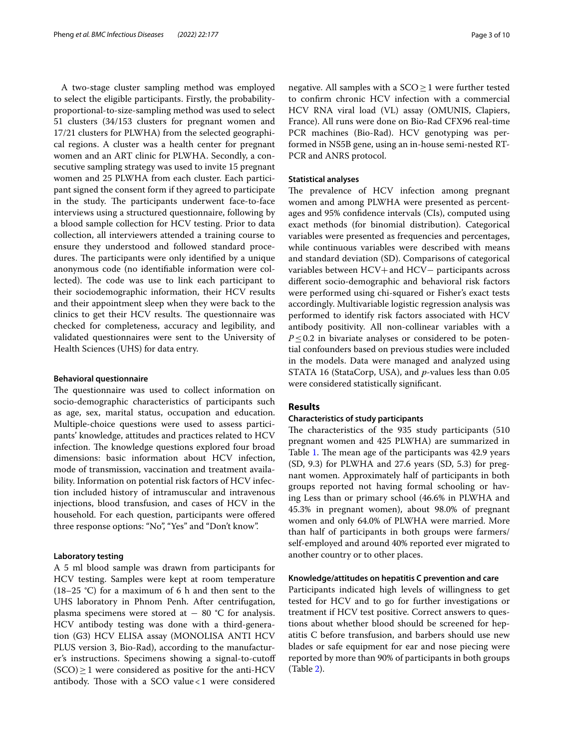A two-stage cluster sampling method was employed to select the eligible participants. Firstly, the probabilityproportional-to-size-sampling method was used to select 51 clusters (34/153 clusters for pregnant women and 17/21 clusters for PLWHA) from the selected geographical regions. A cluster was a health center for pregnant women and an ART clinic for PLWHA. Secondly, a consecutive sampling strategy was used to invite 15 pregnant women and 25 PLWHA from each cluster. Each participant signed the consent form if they agreed to participate in the study. The participants underwent face-to-face interviews using a structured questionnaire, following by a blood sample collection for HCV testing. Prior to data collection, all interviewers attended a training course to ensure they understood and followed standard procedures. The participants were only identified by a unique anonymous code (no identifable information were collected). The code was use to link each participant to their sociodemographic information, their HCV results and their appointment sleep when they were back to the clinics to get their HCV results. The questionnaire was checked for completeness, accuracy and legibility, and validated questionnaires were sent to the University of Health Sciences (UHS) for data entry.

#### **Behavioral questionnaire**

The questionnaire was used to collect information on socio-demographic characteristics of participants such as age, sex, marital status, occupation and education. Multiple-choice questions were used to assess participants' knowledge, attitudes and practices related to HCV infection. The knowledge questions explored four broad dimensions: basic information about HCV infection, mode of transmission, vaccination and treatment availability. Information on potential risk factors of HCV infection included history of intramuscular and intravenous injections, blood transfusion, and cases of HCV in the household. For each question, participants were offered three response options: "No", "Yes" and "Don't know".

# **Laboratory testing**

A 5 ml blood sample was drawn from participants for HCV testing. Samples were kept at room temperature (18–25  $°C$ ) for a maximum of 6 h and then sent to the UHS laboratory in Phnom Penh. After centrifugation, plasma specimens were stored at  $-$  80 °C for analysis. HCV antibody testing was done with a third-generation (G3) HCV ELISA assay (MONOLISA ANTI HCV PLUS version 3, Bio-Rad), according to the manufacturer's instructions. Specimens showing a signal-to-cutof  $(SCO) \geq 1$  were considered as positive for the anti-HCV antibody. Those with a SCO value  $< 1$  were considered negative. All samples with a  $SCO \geq 1$  were further tested to confrm chronic HCV infection with a commercial HCV RNA viral load (VL) assay (OMUNIS, Clapiers, France). All runs were done on Bio-Rad CFX96 real-time PCR machines (Bio-Rad). HCV genotyping was performed in NS5B gene, using an in-house semi-nested RT-PCR and ANRS protocol.

# **Statistical analyses**

The prevalence of HCV infection among pregnant women and among PLWHA were presented as percentages and 95% confdence intervals (CIs), computed using exact methods (for binomial distribution). Categorical variables were presented as frequencies and percentages, while continuous variables were described with means and standard deviation (SD). Comparisons of categorical variables between HCV+and HCV− participants across diferent socio-demographic and behavioral risk factors were performed using chi-squared or Fisher's exact tests accordingly. Multivariable logistic regression analysis was performed to identify risk factors associated with HCV antibody positivity. All non-collinear variables with a *P*≤0.2 in bivariate analyses or considered to be potential confounders based on previous studies were included in the models. Data were managed and analyzed using STATA 16 (StataCorp, USA), and *p*-values less than 0.05 were considered statistically signifcant.

# **Results**

### **Characteristics of study participants**

The characteristics of the 935 study participants (510) pregnant women and 425 PLWHA) are summarized in Table 1. The mean age of the participants was 42.9 years (SD, 9.3) for PLWHA and 27.6 years (SD, 5.3) for pregnant women. Approximately half of participants in both groups reported not having formal schooling or having Less than or primary school (46.6% in PLWHA and 45.3% in pregnant women), about 98.0% of pregnant women and only 64.0% of PLWHA were married. More than half of participants in both groups were farmers/ self-employed and around 40% reported ever migrated to another country or to other places.

# **Knowledge/attitudes on hepatitis C prevention and care**

Participants indicated high levels of willingness to get tested for HCV and to go for further investigations or treatment if HCV test positive. Correct answers to questions about whether blood should be screened for hepatitis C before transfusion, and barbers should use new blades or safe equipment for ear and nose piecing were reported by more than 90% of participants in both groups (Table 2).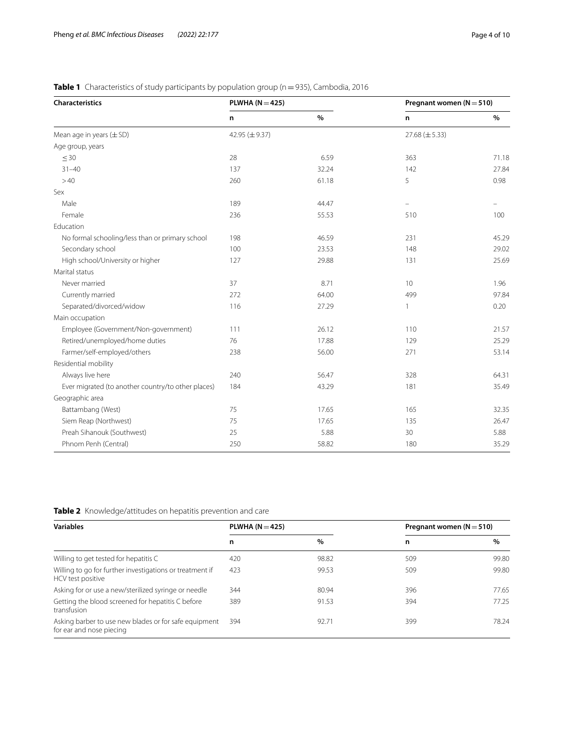| Characteristics                                    | PLWHA ( $N = 425$ ) |       | Pregnant women ( $N = 510$ ) |       |
|----------------------------------------------------|---------------------|-------|------------------------------|-------|
|                                                    | n                   | $\%$  | n                            | $\%$  |
| Mean age in years $(\pm SD)$                       | 42.95 $(\pm 9.37)$  |       | $27.68 \ (\pm 5.33)$         |       |
| Age group, years                                   |                     |       |                              |       |
| $\leq 30$                                          | 28                  | 6.59  | 363                          | 71.18 |
| $31 - 40$                                          | 137                 | 32.24 | 142                          | 27.84 |
| >40                                                | 260                 | 61.18 | 5                            | 0.98  |
| Sex                                                |                     |       |                              |       |
| Male                                               | 189                 | 44.47 |                              |       |
| Female                                             | 236                 | 55.53 | 510                          | 100   |
| Education                                          |                     |       |                              |       |
| No formal schooling/less than or primary school    | 198                 | 46.59 | 231                          | 45.29 |
| Secondary school                                   | 100                 | 23.53 | 148                          | 29.02 |
| High school/University or higher                   | 127                 | 29.88 | 131                          | 25.69 |
| Marital status                                     |                     |       |                              |       |
| Never married                                      | 37                  | 8.71  | 10                           | 1.96  |
| Currently married                                  | 272                 | 64.00 | 499                          | 97.84 |
| Separated/divorced/widow                           | 116                 | 27.29 | 1                            | 0.20  |
| Main occupation                                    |                     |       |                              |       |
| Employee (Government/Non-government)               | 111                 | 26.12 | 110                          | 21.57 |
| Retired/unemployed/home duties                     | 76                  | 17.88 | 129                          | 25.29 |
| Farmer/self-employed/others                        | 238                 | 56.00 | 271                          | 53.14 |
| Residential mobility                               |                     |       |                              |       |
| Always live here                                   | 240                 | 56.47 | 328                          | 64.31 |
| Ever migrated (to another country/to other places) | 184                 | 43.29 | 181                          | 35.49 |
| Geographic area                                    |                     |       |                              |       |
| Battambang (West)                                  | 75                  | 17.65 | 165                          | 32.35 |
| Siem Reap (Northwest)                              | 75                  | 17.65 | 135                          | 26.47 |
| Preah Sihanouk (Southwest)                         | 25                  | 5.88  | 30                           | 5.88  |
| Phnom Penh (Central)                               | 250                 | 58.82 | 180                          | 35.29 |

# **Table 1** Characteristics of study participants by population group (n = 935), Cambodia, 2016

**Table 2** Knowledge/attitudes on hepatitis prevention and care

| <b>Variables</b>                                                                  | PLWHA ( $N = 425$ ) |       | Pregnant women ( $N = 510$ ) |       |
|-----------------------------------------------------------------------------------|---------------------|-------|------------------------------|-------|
|                                                                                   | n                   | $\%$  | n                            | $\%$  |
| Willing to get tested for hepatitis C                                             | 420                 | 98.82 | 509                          | 99.80 |
| Willing to go for further investigations or treatment if<br>HCV test positive     | 423                 | 99.53 | 509                          | 99.80 |
| Asking for or use a new/sterilized syringe or needle                              | 344                 | 80.94 | 396                          | 77.65 |
| Getting the blood screened for hepatitis C before<br>transfusion                  | 389                 | 91.53 | 394                          | 77.25 |
| Asking barber to use new blades or for safe equipment<br>for ear and nose piecing | 394                 | 92.71 | 399                          | 78.24 |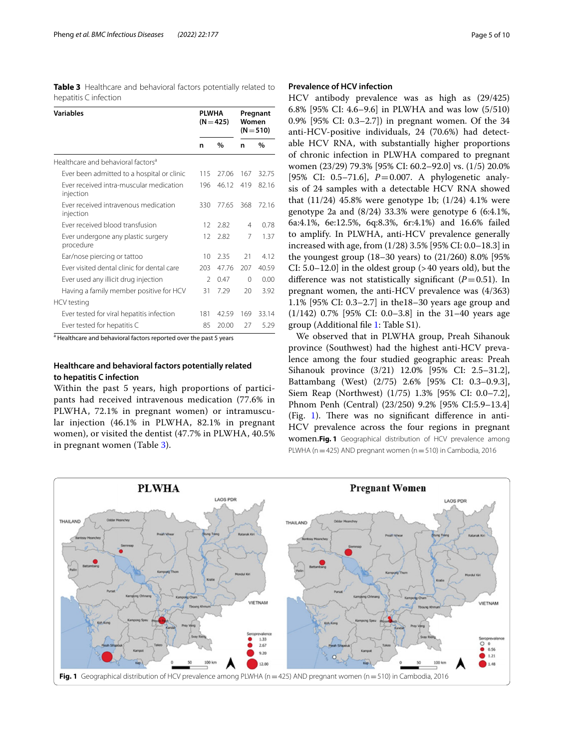| <b>Table 3</b> Healthcare and behavioral factors potentially related to |  |  |  |
|-------------------------------------------------------------------------|--|--|--|
| hepatitis C infection                                                   |  |  |  |

| <b>Variables</b>                                     | <b>PLWHA</b>   | $(N = 425)$ | Women | Pregnant<br>$(N = 510)$ |
|------------------------------------------------------|----------------|-------------|-------|-------------------------|
|                                                      | n              | %           | n     | %                       |
| Healthcare and behavioral factors <sup>a</sup>       |                |             |       |                         |
| Ever been admitted to a hospital or clinic           | 115            | 27.06       | 167   | 32.75                   |
| Ever received intra-muscular medication<br>injection | 196            | 46.12       | 419   | 82.16                   |
| Ever received intravenous medication<br>injection    | 330            | 77.65       | 368   | 7216                    |
| Ever received blood transfusion                      | 12             | 282         | 4     | 0.78                    |
| Ever undergone any plastic surgery<br>procedure      | 12             | 2.82        | 7     | 1.37                    |
| Ear/nose piercing or tattoo                          | 10             | 2.35        | 21    | 412                     |
| Ever visited dental clinic for dental care           | 203            | 47.76       | 207   | 40.59                   |
| Ever used any illicit drug injection                 | $\mathfrak{D}$ | 0.47        | 0     | 0.00                    |
| Having a family member positive for HCV              | 31             | 7.29        | 20    | 392                     |
| HCV testing                                          |                |             |       |                         |
| Ever tested for viral hepatitis infection            | 181            | 42.59       | 169   | 33.14                   |
| Ever tested for hepatitis C                          | 85             | 20.00       | 27    | 5.29                    |

<sup>a</sup> Healthcare and behavioral factors reported over the past 5 years

# **Healthcare and behavioral factors potentially related to hepatitis C infection**

Within the past 5 years, high proportions of participants had received intravenous medication (77.6% in PLWHA, 72.1% in pregnant women) or intramuscular injection (46.1% in PLWHA, 82.1% in pregnant women), or visited the dentist (47.7% in PLWHA, 40.5% in pregnant women (Table 3).

# **Prevalence of HCV infection**

HCV antibody prevalence was as high as (29/425) 6.8% [95% CI: 4.6–9.6] in PLWHA and was low (5/510) 0.9% [95% CI: 0.3–2.7]) in pregnant women. Of the 34 anti-HCV-positive individuals, 24 (70.6%) had detectable HCV RNA, with substantially higher proportions of chronic infection in PLWHA compared to pregnant women (23/29) 79.3% [95% CI: 60.2–92.0] vs. (1/5) 20.0% [95% CI: 0.5–71.6], *P*=0.007. A phylogenetic analysis of 24 samples with a detectable HCV RNA showed that (11/24) 45.8% were genotype 1b; (1/24) 4.1% were genotype 2a and (8/24) 33.3% were genotype 6 (6:4.1%, 6a:4.1%, 6e:12.5%, 6q:8.3%, 6r:4.1%) and 16.6% failed to amplify. In PLWHA, anti-HCV prevalence generally increased with age, from (1/28) 3.5% [95% CI: 0.0–18.3] in the youngest group (18–30 years) to (21/260) 8.0% [95% CI: 5.0–12.0] in the oldest group (>40 years old), but the difference was not statistically significant  $(P=0.51)$ . In pregnant women, the anti-HCV prevalence was (4/363) 1.1% [95% CI: 0.3–2.7] in the18–30 years age group and (1/142) 0.7% [95% CI: 0.0–3.8] in the 31–40 years age group (Additional fle 1: Table S1).

We observed that in PLWHA group, Preah Sihanouk province (Southwest) had the highest anti-HCV prevalence among the four studied geographic areas: Preah Sihanouk province (3/21) 12.0% [95% CI: 2.5–31.2], Battambang (West) (2/75) 2.6% [95% CI: 0.3–0.9.3], Siem Reap (Northwest) (1/75) 1.3% [95% CI: 0.0–7.2], Phnom Penh (Central) (23/250) 9.2% [95% CI:5.9–13.4] (Fig. 1). There was no significant difference in anti-HCV prevalence across the four regions in pregnant women.**Fig. 1** Geographical distribution of HCV prevalence among PLWHA ( $n=425$ ) AND pregnant women ( $n=510$ ) in Cambodia, 2016

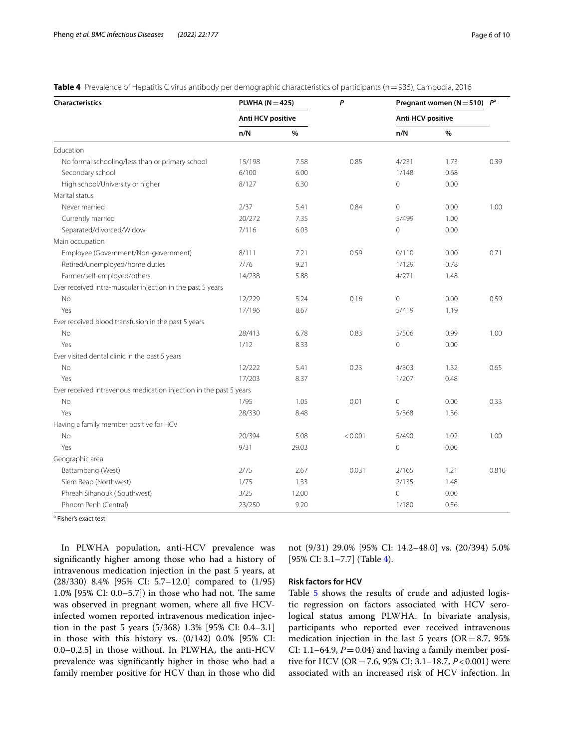| <b>Characteristics</b>                                             | PLWHA ( $N = 425$ ) |       | P       |                          | Pregnant women ( $N = 510$ ) $P^a$ |       |
|--------------------------------------------------------------------|---------------------|-------|---------|--------------------------|------------------------------------|-------|
|                                                                    | Anti HCV positive   |       |         | <b>Anti HCV positive</b> |                                    |       |
|                                                                    | n/N                 | $\%$  |         | n/N                      | $\%$                               |       |
| Education                                                          |                     |       |         |                          |                                    |       |
| No formal schooling/less than or primary school                    | 15/198              | 7.58  | 0.85    | 4/231                    | 1.73                               | 0.39  |
| Secondary school                                                   | 6/100               | 6.00  |         | 1/148                    | 0.68                               |       |
| High school/University or higher                                   | 8/127               | 6.30  |         | $\mathbf 0$              | 0.00                               |       |
| Marital status                                                     |                     |       |         |                          |                                    |       |
| Never married                                                      | 2/37                | 5.41  | 0.84    | $\mathbf 0$              | 0.00                               | 1.00  |
| Currently married                                                  | 20/272              | 7.35  |         | 5/499                    | 1.00                               |       |
| Separated/divorced/Widow                                           | 7/116               | 6.03  |         | $\mathbf 0$              | 0.00                               |       |
| Main occupation                                                    |                     |       |         |                          |                                    |       |
| Employee (Government/Non-government)                               | 8/111               | 7.21  | 0.59    | 0/110                    | 0.00                               | 0.71  |
| Retired/unemployed/home duties                                     | 7/76                | 9.21  |         | 1/129                    | 0.78                               |       |
| Farmer/self-employed/others                                        | 14/238              | 5.88  |         | 4/271                    | 1.48                               |       |
| Ever received intra-muscular injection in the past 5 years         |                     |       |         |                          |                                    |       |
| No                                                                 | 12/229              | 5.24  | 0.16    | $\mathbf 0$              | 0.00                               | 0.59  |
| Yes                                                                | 17/196              | 8.67  |         | 5/419                    | 1.19                               |       |
| Ever received blood transfusion in the past 5 years                |                     |       |         |                          |                                    |       |
| No                                                                 | 28/413              | 6.78  | 0.83    | 5/506                    | 0.99                               | 1.00  |
| Yes                                                                | 1/12                | 8.33  |         | $\mathbf 0$              | 0.00                               |       |
| Ever visited dental clinic in the past 5 years                     |                     |       |         |                          |                                    |       |
| <b>No</b>                                                          | 12/222              | 5.41  | 0.23    | 4/303                    | 1.32                               | 0.65  |
| Yes                                                                | 17/203              | 8.37  |         | 1/207                    | 0.48                               |       |
| Ever received intravenous medication injection in the past 5 years |                     |       |         |                          |                                    |       |
| No                                                                 | 1/95                | 1.05  | 0.01    | $\overline{0}$           | 0.00                               | 0.33  |
| Yes                                                                | 28/330              | 8.48  |         | 5/368                    | 1.36                               |       |
| Having a family member positive for HCV                            |                     |       |         |                          |                                    |       |
| No                                                                 | 20/394              | 5.08  | < 0.001 | 5/490                    | 1.02                               | 1.00  |
| Yes                                                                | 9/31                | 29.03 |         | $\mathbf{0}$             | 0.00                               |       |
| Geographic area                                                    |                     |       |         |                          |                                    |       |
| Battambang (West)                                                  | 2/75                | 2.67  | 0.031   | 2/165                    | 1.21                               | 0.810 |
| Siem Reap (Northwest)                                              | 1/75                | 1.33  |         | 2/135                    | 1.48                               |       |
| Phreah Sihanouk (Southwest)                                        | 3/25                | 12.00 |         | $\mathbf 0$              | 0.00                               |       |
| Phnom Penh (Central)                                               | 23/250              | 9.20  |         | 1/180                    | 0.56                               |       |

**Table 4** Prevalence of Hepatitis C virus antibody per demographic characteristics of participants (n=935), Cambodia, 2016

<sup>a</sup> Fisher's exact test

In PLWHA population, anti-HCV prevalence was signifcantly higher among those who had a history of intravenous medication injection in the past 5 years, at (28/330) 8.4% [95% CI: 5.7–12.0] compared to (1/95) 1.0% [95% CI: 0.0-5.7]) in those who had not. The same was observed in pregnant women, where all five HCVinfected women reported intravenous medication injection in the past 5 years (5/368) 1.3% [95% CI: 0.4–3.1] in those with this history vs. (0/142) 0.0% [95% CI: 0.0–0.2.5] in those without. In PLWHA, the anti-HCV prevalence was signifcantly higher in those who had a family member positive for HCV than in those who did not (9/31) 29.0% [95% CI: 14.2–48.0] vs. (20/394) 5.0% [95% CI: 3.1–7.7] (Table 4).

# **Risk factors for HCV**

Table 5 shows the results of crude and adjusted logistic regression on factors associated with HCV serological status among PLWHA. In bivariate analysis, participants who reported ever received intravenous medication injection in the last 5 years (OR=8.7, 95% CI: 1.1–64.9,  $P = 0.04$ ) and having a family member positive for HCV (OR=7.6, 95% CI: 3.1–18.7, *P*<0.001) were associated with an increased risk of HCV infection. In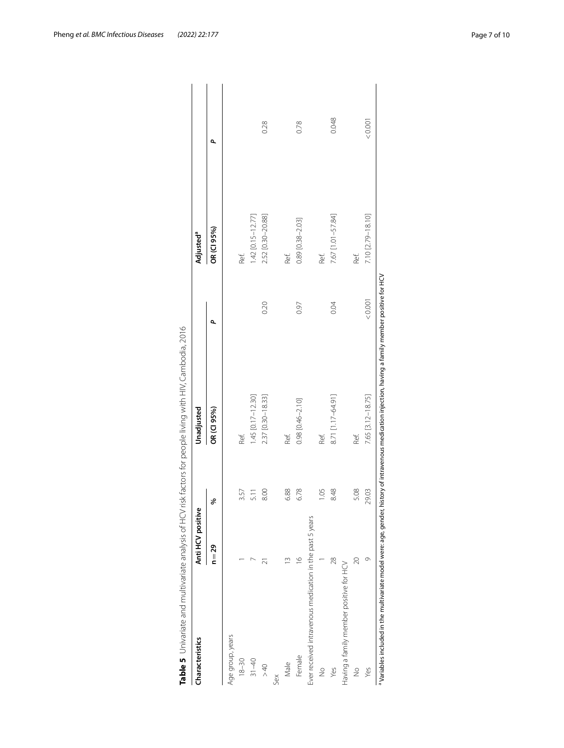| Characteristics                                          | Anti HCV positive |       | Unadjusted        |       | Adjusted <sup>a</sup> |       |
|----------------------------------------------------------|-------------------|-------|-------------------|-------|-----------------------|-------|
|                                                          | $n = 29$          | ℅     | OR (CI 95%)       | ۵     | OR (CI 95%)           | ۵     |
| Age group, years                                         |                   |       |                   |       |                       |       |
| $18 - 30$                                                |                   | 3.57  | Ref.              |       | Ref.                  |       |
| $31 - 40$                                                |                   | 5.11  | 1.45 [0.17-12.30] |       | 1.42 [0.15-12.77]     |       |
| >40                                                      | ಸ                 | 8.00  | 2.37 [0.30-18.33] | 0.20  | 2.52 [0.30-20.88]     | 0.28  |
| Šex                                                      |                   |       |                   |       |                       |       |
| Male                                                     |                   | 6.88  | Ref.              |       | Ref.                  |       |
| Female                                                   | $\frac{6}{2}$     | 6.78  | 0.98 [0.46-2.10]  | 0.97  | 0.89 [0.38-2.03]      | 0.78  |
| Ever received intravenous medication in the past 5 years |                   |       |                   |       |                       |       |
| $\frac{1}{2}$                                            |                   | 1.05  | Ref.              |       | Ref.                  |       |
| Yes                                                      | $\overline{28}$   | 8.48  | 8.71 [1.17-64.91] | 0.04  | 7.67 [1.01-57.84]     | 0.048 |
| Having a family member positive for HCV                  |                   |       |                   |       |                       |       |
| $\frac{1}{2}$                                            | 20                | 5.08  | Ref.              |       | Ref.                  |       |
| Yes                                                      | Ō                 | 29.03 | 7.65 [3.12-18.75] | 10001 | 7.10 [2.79-18.10]     | 10001 |

| )<br> }<br>i                                 |
|----------------------------------------------|
|                                              |
|                                              |
| ׅׅ֚֡֡֬֝֬֝֬֝֬֝                                |
|                                              |
|                                              |
|                                              |
|                                              |
|                                              |
| フンミニフー・ニ<br>$\frac{1}{2}$                    |
|                                              |
|                                              |
|                                              |
|                                              |
|                                              |
|                                              |
| $\ddot{\phantom{0}}$<br>$\ddot{\phantom{0}}$ |
|                                              |
|                                              |
|                                              |
|                                              |
| $\frac{1}{2}$                                |
|                                              |
|                                              |
|                                              |
|                                              |
|                                              |
|                                              |
|                                              |
| ١<br>$\mathcal{L}$                           |
|                                              |
|                                              |
|                                              |
|                                              |
|                                              |
|                                              |
|                                              |
|                                              |
|                                              |
|                                              |
| i                                            |
| j                                            |
|                                              |
|                                              |
|                                              |
|                                              |
|                                              |
|                                              |
|                                              |
|                                              |
|                                              |
|                                              |
|                                              |
|                                              |
|                                              |
| っこ                                           |
|                                              |
|                                              |
|                                              |
|                                              |
|                                              |
|                                              |
|                                              |
|                                              |
|                                              |
|                                              |
| .<br>.                                       |
|                                              |
|                                              |
|                                              |
|                                              |
|                                              |
|                                              |
|                                              |
|                                              |
|                                              |
| c 2+    1 + 2                                |
|                                              |
| ・・・・・・・・                                     |
| ì                                            |
|                                              |
|                                              |
|                                              |
|                                              |
| 5<br>5<br>5                                  |
|                                              |
|                                              |
|                                              |
| 5) 5                                         |
|                                              |
|                                              |
|                                              |
|                                              |
|                                              |
| j                                            |
|                                              |
| ١                                            |
|                                              |
|                                              |
|                                              |
|                                              |
|                                              |
|                                              |
|                                              |
|                                              |
|                                              |
| 1                                            |
|                                              |
|                                              |
| .<br>2<br>2                                  |
|                                              |
|                                              |
|                                              |
|                                              |
|                                              |
|                                              |
|                                              |
|                                              |
|                                              |
|                                              |
|                                              |
|                                              |
|                                              |
| .<br>เก<br>Φ                                 |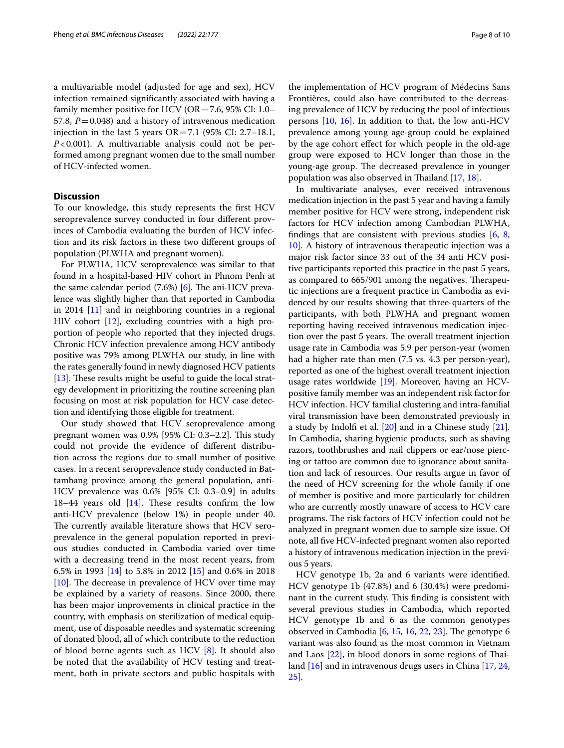a multivariable model (adjusted for age and sex), HCV infection remained signifcantly associated with having a family member positive for HCV ( $OR = 7.6$ , 95% CI: 1.0– 57.8,  $P = 0.048$ ) and a history of intravenous medication injection in the last 5 years OR=7.1 (95% CI: 2.7–18.1, *P*<0.001). A multivariable analysis could not be performed among pregnant women due to the small number of HCV-infected women.

# **Discussion**

To our knowledge, this study represents the frst HCV seroprevalence survey conducted in four diferent provinces of Cambodia evaluating the burden of HCV infection and its risk factors in these two diferent groups of population (PLWHA and pregnant women).

For PLWHA, HCV seroprevalence was similar to that found in a hospital-based HIV cohort in Phnom Penh at the same calendar period  $(7.6%)$  [6]. The ani-HCV prevalence was slightly higher than that reported in Cambodia in 2014 [11] and in neighboring countries in a regional HIV cohort [12], excluding countries with a high proportion of people who reported that they injected drugs. Chronic HCV infection prevalence among HCV antibody positive was 79% among PLWHA our study, in line with the rates generally found in newly diagnosed HCV patients [ $13$ ]. These results might be useful to guide the local strategy development in prioritizing the routine screening plan focusing on most at risk population for HCV case detection and identifying those eligible for treatment.

Our study showed that HCV seroprevalence among pregnant women was  $0.9\%$  [95% CI: 0.3–2.2]. This study could not provide the evidence of diferent distribution across the regions due to small number of positive cases. In a recent seroprevalence study conducted in Battambang province among the general population, anti-HCV prevalence was 0.6% [95% CI: 0.3–0.9] in adults  $18-44$  years old  $[14]$ . These results confirm the low anti-HCV prevalence (below 1%) in people under 40. The currently available literature shows that HCV seroprevalence in the general population reported in previous studies conducted in Cambodia varied over time with a decreasing trend in the most recent years, from 6.5% in 1993 [14] to 5.8% in 2012 [15] and 0.6% in 2018  $[10]$ . The decrease in prevalence of HCV over time may be explained by a variety of reasons. Since 2000, there has been major improvements in clinical practice in the country, with emphasis on sterilization of medical equipment, use of disposable needles and systematic screening of donated blood, all of which contribute to the reduction of blood borne agents such as HCV [8]. It should also be noted that the availability of HCV testing and treatment, both in private sectors and public hospitals with

the implementation of HCV program of Médecins Sans Frontières, could also have contributed to the decreasing prevalence of HCV by reducing the pool of infectious persons  $[10, 16]$ . In addition to that, the low anti-HCV prevalence among young age-group could be explained by the age cohort efect for which people in the old-age group were exposed to HCV longer than those in the young-age group. The decreased prevalence in younger population was also observed in Thailand  $[17, 18]$ .

In multivariate analyses, ever received intravenous medication injection in the past 5 year and having a family member positive for HCV were strong, independent risk factors for HCV infection among Cambodian PLWHA, findings that are consistent with previous studies  $[6, 8, 8]$ 10]. A history of intravenous therapeutic injection was a major risk factor since 33 out of the 34 anti HCV positive participants reported this practice in the past 5 years, as compared to 665/901 among the negatives. Therapeutic injections are a frequent practice in Cambodia as evidenced by our results showing that three-quarters of the participants, with both PLWHA and pregnant women reporting having received intravenous medication injection over the past 5 years. The overall treatment injection usage rate in Cambodia was 5.9 per person-year (women had a higher rate than men (7.5 vs. 4.3 per person-year), reported as one of the highest overall treatment injection usage rates worldwide [19]. Moreover, having an HCVpositive family member was an independent risk factor for HCV infection. HCV familial clustering and intra-familial viral transmission have been demonstrated previously in a study by Indolf et al. [20] and in a Chinese study [21]. In Cambodia, sharing hygienic products, such as shaving razors, toothbrushes and nail clippers or ear/nose piercing or tattoo are common due to ignorance about sanitation and lack of resources. Our results argue in favor of the need of HCV screening for the whole family if one of member is positive and more particularly for children who are currently mostly unaware of access to HCV care programs. The risk factors of HCV infection could not be analyzed in pregnant women due to sample size issue. Of note, all fve HCV-infected pregnant women also reported a history of intravenous medication injection in the previous 5 years.

HCV genotype 1b, 2a and 6 variants were identifed. HCV genotype 1b (47.8%) and 6 (30.4%) were predominant in the current study. This finding is consistent with several previous studies in Cambodia, which reported HCV genotype 1b and 6 as the common genotypes observed in Cambodia  $[6, 15, 16, 22, 23]$ . The genotype 6 variant was also found as the most common in Vietnam and Laos  $[22]$ , in blood donors in some regions of Thailand [16] and in intravenous drugs users in China [17, 24, 25].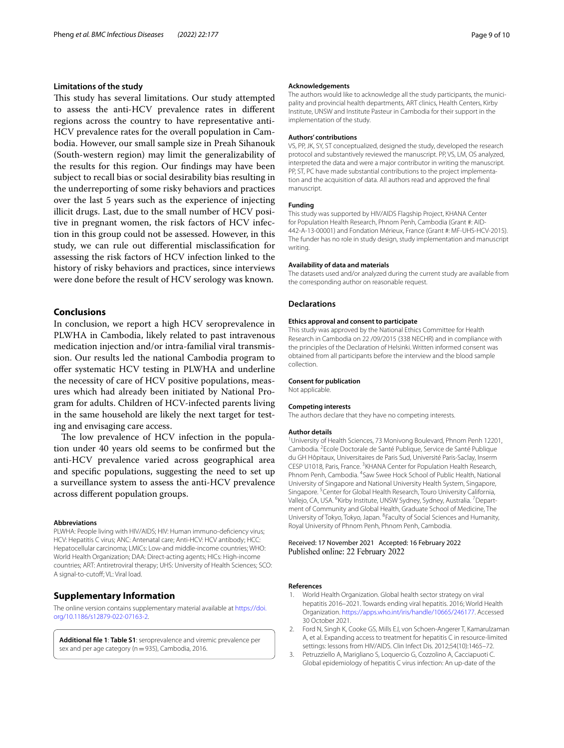# **Limitations of the study**

This study has several limitations. Our study attempted to assess the anti-HCV prevalence rates in diferent regions across the country to have representative anti-HCV prevalence rates for the overall population in Cambodia. However, our small sample size in Preah Sihanouk (South-western region) may limit the generalizability of the results for this region. Our fndings may have been subject to recall bias or social desirability bias resulting in the underreporting of some risky behaviors and practices over the last 5 years such as the experience of injecting illicit drugs. Last, due to the small number of HCV positive in pregnant women, the risk factors of HCV infection in this group could not be assessed. However, in this study, we can rule out diferential misclassifcation for assessing the risk factors of HCV infection linked to the history of risky behaviors and practices, since interviews were done before the result of HCV serology was known.

# **Conclusions**

In conclusion, we report a high HCV seroprevalence in PLWHA in Cambodia, likely related to past intravenous medication injection and/or intra-familial viral transmission. Our results led the national Cambodia program to offer systematic HCV testing in PLWHA and underline the necessity of care of HCV positive populations, measures which had already been initiated by National Program for adults. Children of HCV-infected parents living in the same household are likely the next target for testing and envisaging care access.

The low prevalence of HCV infection in the population under 40 years old seems to be confrmed but the anti-HCV prevalence varied across geographical area and specifc populations, suggesting the need to set up a surveillance system to assess the anti-HCV prevalence across diferent population groups.

#### **Abbreviations**

PLWHA: People living with HIV/AIDS; HIV: Human immuno-defciency virus; HCV: Hepatitis C virus; ANC: Antenatal care; Anti-HCV: HCV antibody; HCC: Hepatocellular carcinoma; LMICs: Low-and middle-income countries; WHO: World Health Organization; DAA: Direct-acting agents; HICs: High-income countries; ART: Antiretroviral therapy; UHS: University of Health Sciences; SCO: A signal-to-cutof; VL: Viral load.

# **Supplementary Information**

The online version contains supplementary material available at [https://doi.](https://doi.org/10.1186/s12879-022-07163-2) [org/10.1186/s12879-022-07163-2](https://doi.org/10.1186/s12879-022-07163-2).

**Additional fle 1**: **Table S1**: seroprevalence and viremic prevalence per sex and per age category ( $n=935$ ), Cambodia, 2016.

#### **Acknowledgements**

The authors would like to acknowledge all the study participants, the municipality and provincial health departments, ART clinics, Health Centers, Kirby Institute, UNSW and Institute Pasteur in Cambodia for their support in the implementation of the study.

### **Authors' contributions**

VS, PP, JK, SY, ST conceptualized, designed the study, developed the research protocol and substantively reviewed the manuscript. PP, VS, LM, OS analyzed, interpreted the data and were a major contributor in writing the manuscript. PP, ST, PC have made substantial contributions to the project implementation and the acquisition of data. All authors read and approved the fnal manuscript.

#### **Funding**

This study was supported by HIV/AIDS Flagship Project, KHANA Center for Population Health Research, Phnom Penh, Cambodia (Grant #: AID-442-A-13-00001) and Fondation Mérieux, France (Grant #: MF-UHS-HCV-2015). The funder has no role in study design, study implementation and manuscript writing.

### **Availability of data and materials**

The datasets used and/or analyzed during the current study are available from the corresponding author on reasonable request.

# **Declarations**

#### **Ethics approval and consent to participate**

This study was approved by the National Ethics Committee for Health Research in Cambodia on 22 /09/2015 (338 NECHR) and in compliance with the principles of the Declaration of Helsinki. Written informed consent was obtained from all participants before the interview and the blood sample collection.

#### **Consent for publication**

Not applicable.

#### **Competing interests**

The authors declare that they have no competing interests.

#### **Author details**

<sup>1</sup> University of Health Sciences, 73 Monivong Boulevard, Phnom Penh 12201, Cambodia. <sup>2</sup> Ecole Doctorale de Santé Publique, Service de Santé Publique du GH Hôpitaux, Universitaires de Paris Sud, Université Paris-Saclay, Inserm CESP U1018, Paris, France. <sup>3</sup>KHANA Center for Population Health Research, Phnom Penh, Cambodia. <sup>4</sup>Saw Swee Hock School of Public Health, National University of Singapore and National University Health System, Singapore, Singapore.<sup>5</sup> Center for Global Health Research, Touro University California, Vallejo, CA, USA. <sup>6</sup> Kirby Institute, UNSW Sydney, Sydney, Australia. <sup>7</sup> Department of Community and Global Health, Graduate School of Medicine, The University of Tokyo, Tokyo, Japan. <sup>8</sup> Faculty of Social Sciences and Humanity, Royal University of Phnom Penh, Phnom Penh, Cambodia.

### Received: 17 November 2021 Accepted: 16 February 2022 Published online: 22 February 2022

### **References**

- World Health Organization. Global health sector strategy on viral hepatitis 2016–2021. Towards ending viral hepatitis. 2016; World Health Organization.<https://apps.who.int/iris/handle/10665/246177>. Accessed 30 October 2021.
- 2. Ford N, Singh K, Cooke GS, Mills EJ, von Schoen-Angerer T, Kamarulzaman A, et al. Expanding access to treatment for hepatitis C in resource-limited settings: lessons from HIV/AIDS. Clin Infect Dis. 2012;54(10):1465–72.
- 3. Petruzziello A, Marigliano S, Loquercio G, Cozzolino A, Cacciapuoti C. Global epidemiology of hepatitis C virus infection: An up-date of the